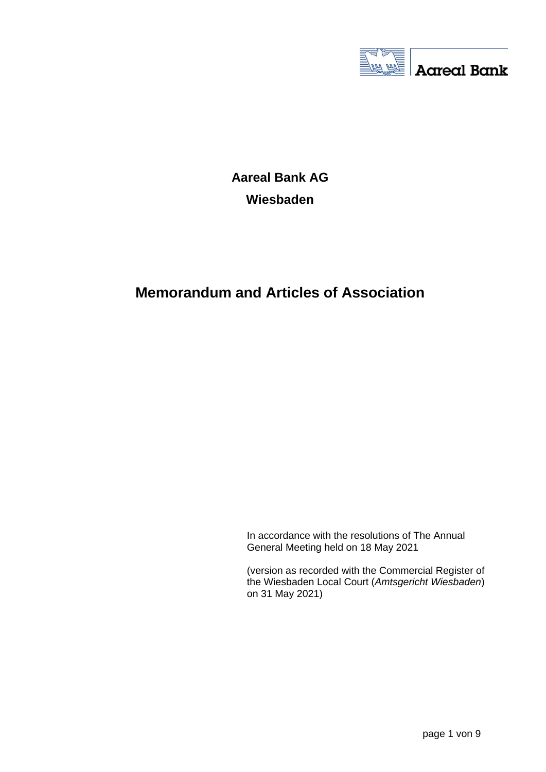

**Aareal Bank AG Wiesbaden**

# **Memorandum and Articles of Association**

In accordance with the resolutions of The Annual General Meeting held on 18 May 2021

(version as recorded with the Commercial Register of the Wiesbaden Local Court (*Amtsgericht Wiesbaden*) on 31 May 2021)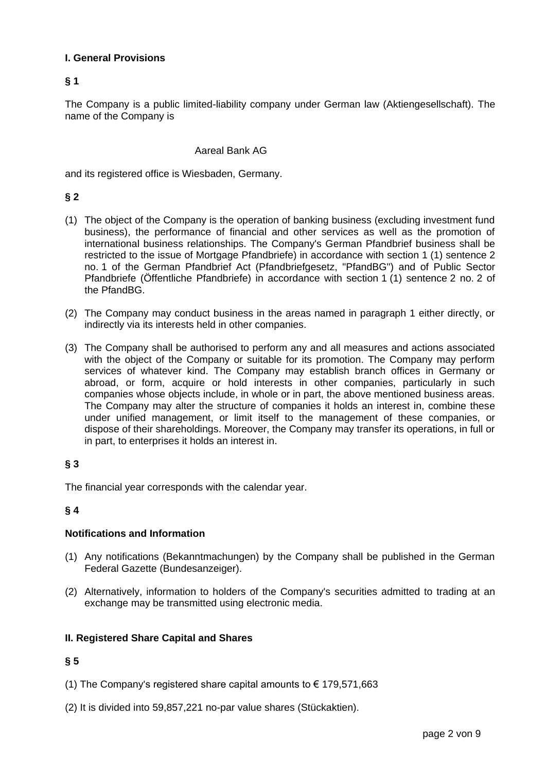### **I. General Provisions**

### **§ 1**

The Company is a public limited-liability company under German law (Aktiengesellschaft). The name of the Company is

#### Aareal Bank AG

and its registered office is Wiesbaden, Germany.

### **§ 2**

- (1) The object of the Company is the operation of banking business (excluding investment fund business), the performance of financial and other services as well as the promotion of international business relationships. The Company's German Pfandbrief business shall be restricted to the issue of Mortgage Pfandbriefe) in accordance with section 1 (1) sentence 2 no. 1 of the German Pfandbrief Act (Pfandbriefgesetz, "PfandBG") and of Public Sector Pfandbriefe (Öffentliche Pfandbriefe) in accordance with section 1 (1) sentence 2 no. 2 of the PfandBG.
- (2) The Company may conduct business in the areas named in paragraph 1 either directly, or indirectly via its interests held in other companies.
- (3) The Company shall be authorised to perform any and all measures and actions associated with the object of the Company or suitable for its promotion. The Company may perform services of whatever kind. The Company may establish branch offices in Germany or abroad, or form, acquire or hold interests in other companies, particularly in such companies whose objects include, in whole or in part, the above mentioned business areas. The Company may alter the structure of companies it holds an interest in, combine these under unified management, or limit itself to the management of these companies, or dispose of their shareholdings. Moreover, the Company may transfer its operations, in full or in part, to enterprises it holds an interest in.

### **§ 3**

The financial year corresponds with the calendar year.

#### **§ 4**

#### **Notifications and Information**

- (1) Any notifications (Bekanntmachungen) by the Company shall be published in the German Federal Gazette (Bundesanzeiger).
- (2) Alternatively, information to holders of the Company's securities admitted to trading at an exchange may be transmitted using electronic media.

#### **II. Registered Share Capital and Shares**

- (1) The Company's registered share capital amounts to  $\epsilon$  179,571,663
- (2) It is divided into 59,857,221 no-par value shares (Stückaktien).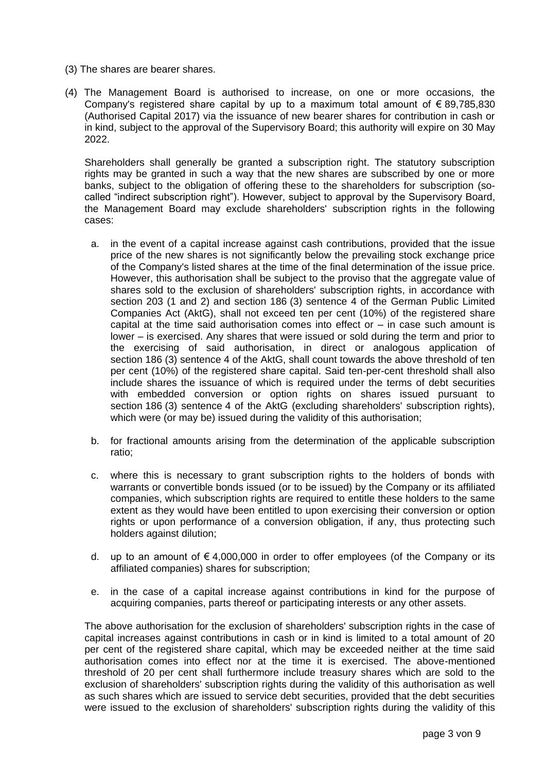- (3) The shares are bearer shares.
- (4) The Management Board is authorised to increase, on one or more occasions, the Company's registered share capital by up to a maximum total amount of  $\epsilon$  89,785,830 (Authorised Capital 2017) via the issuance of new bearer shares for contribution in cash or in kind, subject to the approval of the Supervisory Board; this authority will expire on 30 May 2022.

Shareholders shall generally be granted a subscription right. The statutory subscription rights may be granted in such a way that the new shares are subscribed by one or more banks, subject to the obligation of offering these to the shareholders for subscription (socalled "indirect subscription right"). However, subject to approval by the Supervisory Board, the Management Board may exclude shareholders' subscription rights in the following cases:

- a. in the event of a capital increase against cash contributions, provided that the issue price of the new shares is not significantly below the prevailing stock exchange price of the Company's listed shares at the time of the final determination of the issue price. However, this authorisation shall be subject to the proviso that the aggregate value of shares sold to the exclusion of shareholders' subscription rights, in accordance with section 203 (1 and 2) and section 186 (3) sentence 4 of the German Public Limited Companies Act (AktG), shall not exceed ten per cent (10%) of the registered share capital at the time said authorisation comes into effect or  $-$  in case such amount is lower – is exercised. Any shares that were issued or sold during the term and prior to the exercising of said authorisation, in direct or analogous application of section 186 (3) sentence 4 of the AktG, shall count towards the above threshold of ten per cent (10%) of the registered share capital. Said ten-per-cent threshold shall also include shares the issuance of which is required under the terms of debt securities with embedded conversion or option rights on shares issued pursuant to section 186 (3) sentence 4 of the AktG (excluding shareholders' subscription rights), which were (or may be) issued during the validity of this authorisation:
- b. for fractional amounts arising from the determination of the applicable subscription ratio;
- c. where this is necessary to grant subscription rights to the holders of bonds with warrants or convertible bonds issued (or to be issued) by the Company or its affiliated companies, which subscription rights are required to entitle these holders to the same extent as they would have been entitled to upon exercising their conversion or option rights or upon performance of a conversion obligation, if any, thus protecting such holders against dilution;
- d. up to an amount of  $\epsilon$  4,000,000 in order to offer employees (of the Company or its affiliated companies) shares for subscription;
- e. in the case of a capital increase against contributions in kind for the purpose of acquiring companies, parts thereof or participating interests or any other assets.

The above authorisation for the exclusion of shareholders' subscription rights in the case of capital increases against contributions in cash or in kind is limited to a total amount of 20 per cent of the registered share capital, which may be exceeded neither at the time said authorisation comes into effect nor at the time it is exercised. The above-mentioned threshold of 20 per cent shall furthermore include treasury shares which are sold to the exclusion of shareholders' subscription rights during the validity of this authorisation as well as such shares which are issued to service debt securities, provided that the debt securities were issued to the exclusion of shareholders' subscription rights during the validity of this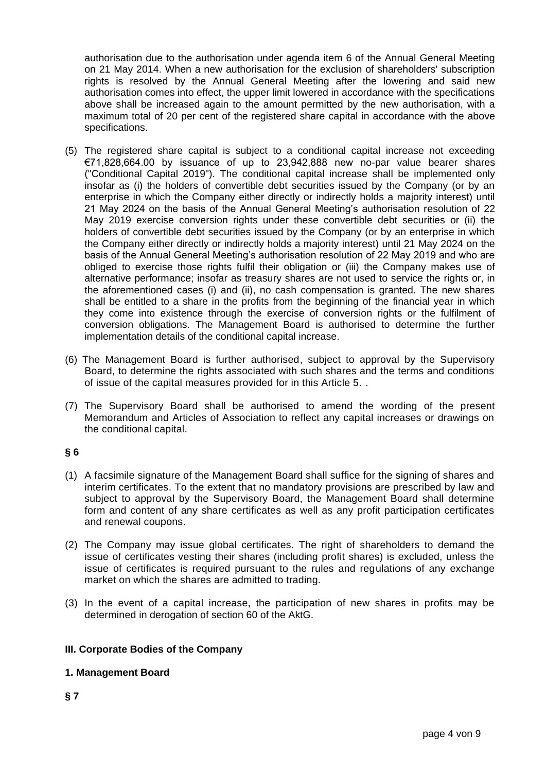authorisation due to the authorisation under agenda item 6 of the Annual General Meeting on 21 May 2014. When a new authorisation for the exclusion of shareholders' subscription rights is resolved by the Annual General Meeting after the lowering and said new authorisation comes into effect, the upper limit lowered in accordance with the specifications above shall be increased again to the amount permitted by the new authorisation, with a maximum total of 20 per cent of the registered share capital in accordance with the above specifications.

- (5) The registered share capital is subject to a conditional capital increase not exceeding €71,828,664.00 by issuance of up to 23,942,888 new no-par value bearer shares ("Conditional Capital 2019"). The conditional capital increase shall be implemented only insofar as (i) the holders of convertible debt securities issued by the Company (or by an enterprise in which the Company either directly or indirectly holds a majority interest) until 21 May 2024 on the basis of the Annual General Meeting's authorisation resolution of 22 May 2019 exercise conversion rights under these convertible debt securities or (ii) the holders of convertible debt securities issued by the Company (or by an enterprise in which the Company either directly or indirectly holds a majority interest) until 21 May 2024 on the basis of the Annual General Meeting's authorisation resolution of 22 May 2019 and who are obliged to exercise those rights fulfil their obligation or (iii) the Company makes use of alternative performance; insofar as treasury shares are not used to service the rights or, in the aforementioned cases (i) and (ii), no cash compensation is granted. The new shares shall be entitled to a share in the profits from the beginning of the financial year in which they come into existence through the exercise of conversion rights or the fulfilment of conversion obligations. The Management Board is authorised to determine the further implementation details of the conditional capital increase.
- (6) The Management Board is further authorised, subject to approval by the Supervisory Board, to determine the rights associated with such shares and the terms and conditions of issue of the capital measures provided for in this Article 5. .
- (7) The Supervisory Board shall be authorised to amend the wording of the present Memorandum and Articles of Association to reflect any capital increases or drawings on the conditional capital.

### **§ 6**

- (1) A facsimile signature of the Management Board shall suffice for the signing of shares and interim certificates. To the extent that no mandatory provisions are prescribed by law and subject to approval by the Supervisory Board, the Management Board shall determine form and content of any share certificates as well as any profit participation certificates and renewal coupons.
- (2) The Company may issue global certificates. The right of shareholders to demand the issue of certificates vesting their shares (including profit shares) is excluded, unless the issue of certificates is required pursuant to the rules and regulations of any exchange market on which the shares are admitted to trading.
- (3) In the event of a capital increase, the participation of new shares in profits may be determined in derogation of section 60 of the AktG.

#### **III. Corporate Bodies of the Company**

#### **1. Management Board**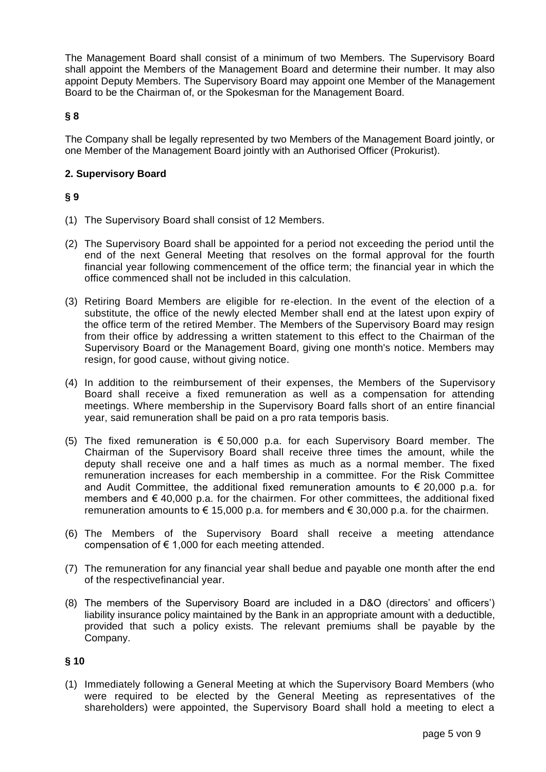The Management Board shall consist of a minimum of two Members. The Supervisory Board shall appoint the Members of the Management Board and determine their number. It may also appoint Deputy Members. The Supervisory Board may appoint one Member of the Management Board to be the Chairman of, or the Spokesman for the Management Board.

### **§ 8**

The Company shall be legally represented by two Members of the Management Board jointly, or one Member of the Management Board jointly with an Authorised Officer (Prokurist).

#### **2. Supervisory Board**

### **§ 9**

- (1) The Supervisory Board shall consist of 12 Members.
- (2) The Supervisory Board shall be appointed for a period not exceeding the period until the end of the next General Meeting that resolves on the formal approval for the fourth financial year following commencement of the office term; the financial year in which the office commenced shall not be included in this calculation.
- (3) Retiring Board Members are eligible for re-election. In the event of the election of a substitute, the office of the newly elected Member shall end at the latest upon expiry of the office term of the retired Member. The Members of the Supervisory Board may resign from their office by addressing a written statement to this effect to the Chairman of the Supervisory Board or the Management Board, giving one month's notice. Members may resign, for good cause, without giving notice.
- (4) In addition to the reimbursement of their expenses, the Members of the Supervisory Board shall receive a fixed remuneration as well as a compensation for attending meetings. Where membership in the Supervisory Board falls short of an entire financial year, said remuneration shall be paid on a pro rata temporis basis.
- (5) The fixed remuneration is  $\epsilon$  50,000 p.a. for each Supervisory Board member. The Chairman of the Supervisory Board shall receive three times the amount, while the deputy shall receive one and a half times as much as a normal member. The fixed remuneration increases for each membership in a committee. For the Risk Committee and Audit Committee, the additional fixed remuneration amounts to  $\epsilon$  20,000 p.a. for members and  $\epsilon$  40,000 p.a. for the chairmen. For other committees, the additional fixed remuneration amounts to  $\epsilon$  15,000 p.a. for members and  $\epsilon$  30,000 p.a. for the chairmen.
- (6) The Members of the Supervisory Board shall receive a meeting attendance compensation of  $\epsilon$  1,000 for each meeting attended.
- (7) The remuneration for any financial year shall bedue and payable one month after the end of the respectivefinancial year.
- (8) The members of the Supervisory Board are included in a D&O (directors' and officers') liability insurance policy maintained by the Bank in an appropriate amount with a deductible, provided that such a policy exists. The relevant premiums shall be payable by the Company.

#### **§ 10**

(1) Immediately following a General Meeting at which the Supervisory Board Members (who were required to be elected by the General Meeting as representatives of the shareholders) were appointed, the Supervisory Board shall hold a meeting to elect a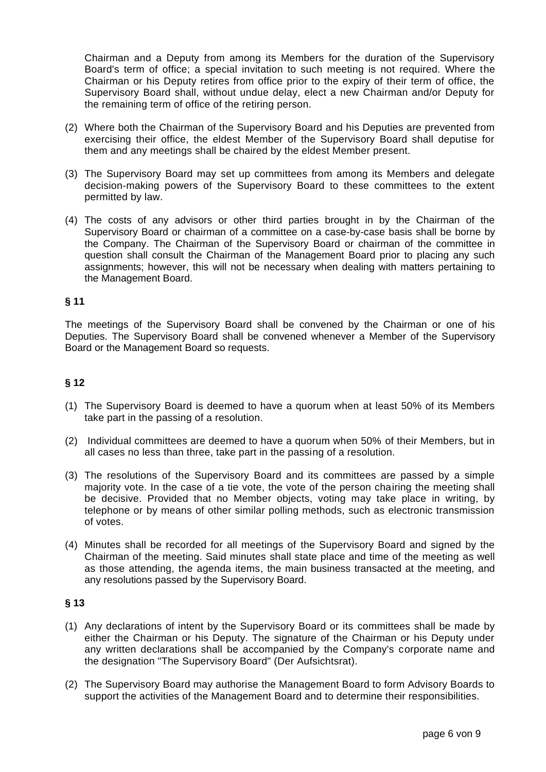Chairman and a Deputy from among its Members for the duration of the Supervisory Board's term of office; a special invitation to such meeting is not required. Where the Chairman or his Deputy retires from office prior to the expiry of their term of office, the Supervisory Board shall, without undue delay, elect a new Chairman and/or Deputy for the remaining term of office of the retiring person.

- (2) Where both the Chairman of the Supervisory Board and his Deputies are prevented from exercising their office, the eldest Member of the Supervisory Board shall deputise for them and any meetings shall be chaired by the eldest Member present.
- (3) The Supervisory Board may set up committees from among its Members and delegate decision-making powers of the Supervisory Board to these committees to the extent permitted by law.
- (4) The costs of any advisors or other third parties brought in by the Chairman of the Supervisory Board or chairman of a committee on a case-by-case basis shall be borne by the Company. The Chairman of the Supervisory Board or chairman of the committee in question shall consult the Chairman of the Management Board prior to placing any such assignments; however, this will not be necessary when dealing with matters pertaining to the Management Board.

### **§ 11**

The meetings of the Supervisory Board shall be convened by the Chairman or one of his Deputies. The Supervisory Board shall be convened whenever a Member of the Supervisory Board or the Management Board so requests.

### **§ 12**

- (1) The Supervisory Board is deemed to have a quorum when at least 50% of its Members take part in the passing of a resolution.
- (2) Individual committees are deemed to have a quorum when 50% of their Members, but in all cases no less than three, take part in the passing of a resolution.
- (3) The resolutions of the Supervisory Board and its committees are passed by a simple majority vote. In the case of a tie vote, the vote of the person chairing the meeting shall be decisive. Provided that no Member objects, voting may take place in writing, by telephone or by means of other similar polling methods, such as electronic transmission of votes.
- (4) Minutes shall be recorded for all meetings of the Supervisory Board and signed by the Chairman of the meeting. Said minutes shall state place and time of the meeting as well as those attending, the agenda items, the main business transacted at the meeting, and any resolutions passed by the Supervisory Board.

- (1) Any declarations of intent by the Supervisory Board or its committees shall be made by either the Chairman or his Deputy. The signature of the Chairman or his Deputy under any written declarations shall be accompanied by the Company's corporate name and the designation "The Supervisory Board" (Der Aufsichtsrat).
- (2) The Supervisory Board may authorise the Management Board to form Advisory Boards to support the activities of the Management Board and to determine their responsibilities.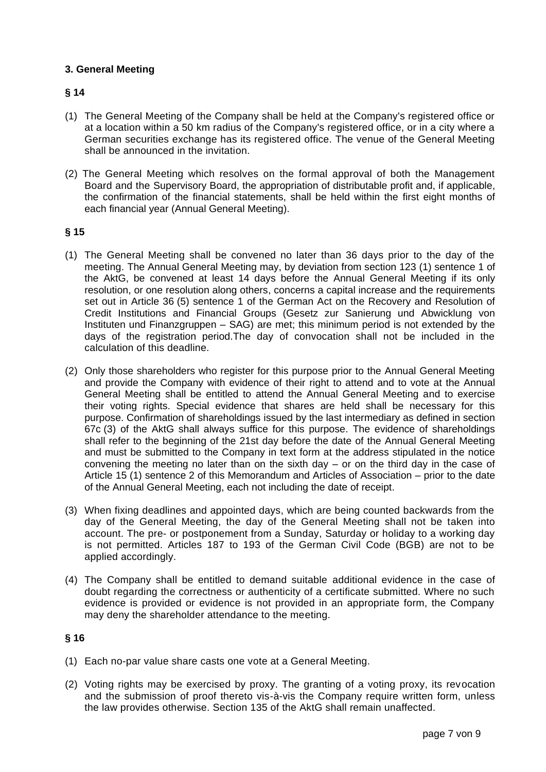### **3. General Meeting**

### **§ 14**

- (1) The General Meeting of the Company shall be held at the Company's registered office or at a location within a 50 km radius of the Company's registered office, or in a city where a German securities exchange has its registered office. The venue of the General Meeting shall be announced in the invitation.
- (2) The General Meeting which resolves on the formal approval of both the Management Board and the Supervisory Board, the appropriation of distributable profit and, if applicable, the confirmation of the financial statements, shall be held within the first eight months of each financial year (Annual General Meeting).

#### **§ 15**

- (1) The General Meeting shall be convened no later than 36 days prior to the day of the meeting. The Annual General Meeting may, by deviation from section 123 (1) sentence 1 of the AktG, be convened at least 14 days before the Annual General Meeting if its only resolution, or one resolution along others, concerns a capital increase and the requirements set out in Article 36 (5) sentence 1 of the German Act on the Recovery and Resolution of Credit Institutions and Financial Groups (Gesetz zur Sanierung und Abwicklung von Instituten und Finanzgruppen – SAG) are met; this minimum period is not extended by the days of the registration period.The day of convocation shall not be included in the calculation of this deadline.
- (2) Only those shareholders who register for this purpose prior to the Annual General Meeting and provide the Company with evidence of their right to attend and to vote at the Annual General Meeting shall be entitled to attend the Annual General Meeting and to exercise their voting rights. Special evidence that shares are held shall be necessary for this purpose. Confirmation of shareholdings issued by the last intermediary as defined in section 67c (3) of the AktG shall always suffice for this purpose. The evidence of shareholdings shall refer to the beginning of the 21st day before the date of the Annual General Meeting and must be submitted to the Company in text form at the address stipulated in the notice convening the meeting no later than on the sixth day – or on the third day in the case of Article 15 (1) sentence 2 of this Memorandum and Articles of Association – prior to the date of the Annual General Meeting, each not including the date of receipt.
- (3) When fixing deadlines and appointed days, which are being counted backwards from the day of the General Meeting, the day of the General Meeting shall not be taken into account. The pre- or postponement from a Sunday, Saturday or holiday to a working day is not permitted. Articles 187 to 193 of the German Civil Code (BGB) are not to be applied accordingly.
- (4) The Company shall be entitled to demand suitable additional evidence in the case of doubt regarding the correctness or authenticity of a certificate submitted. Where no such evidence is provided or evidence is not provided in an appropriate form, the Company may deny the shareholder attendance to the meeting.

- (1) Each no-par value share casts one vote at a General Meeting.
- (2) Voting rights may be exercised by proxy. The granting of a voting proxy, its revocation and the submission of proof thereto vis-à-vis the Company require written form, unless the law provides otherwise. Section 135 of the AktG shall remain unaffected.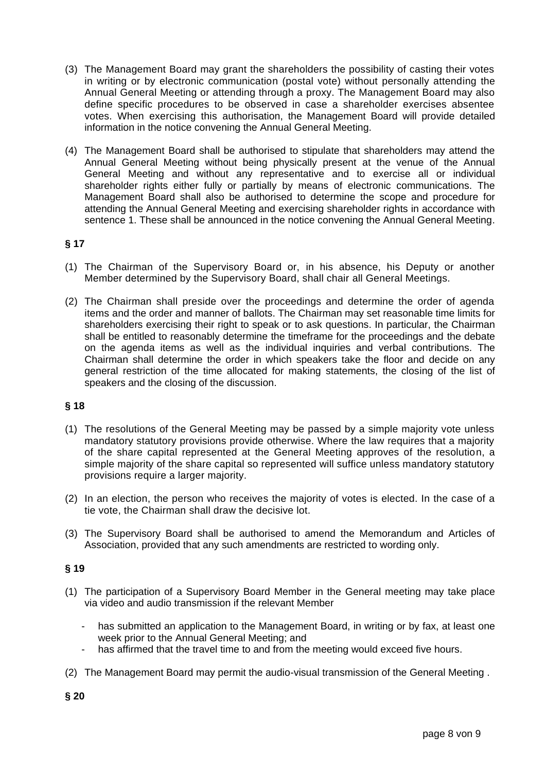- (3) The Management Board may grant the shareholders the possibility of casting their votes in writing or by electronic communication (postal vote) without personally attending the Annual General Meeting or attending through a proxy. The Management Board may also define specific procedures to be observed in case a shareholder exercises absentee votes. When exercising this authorisation, the Management Board will provide detailed information in the notice convening the Annual General Meeting.
- (4) The Management Board shall be authorised to stipulate that shareholders may attend the Annual General Meeting without being physically present at the venue of the Annual General Meeting and without any representative and to exercise all or individual shareholder rights either fully or partially by means of electronic communications. The Management Board shall also be authorised to determine the scope and procedure for attending the Annual General Meeting and exercising shareholder rights in accordance with sentence 1. These shall be announced in the notice convening the Annual General Meeting.

## **§ 17**

- (1) The Chairman of the Supervisory Board or, in his absence, his Deputy or another Member determined by the Supervisory Board, shall chair all General Meetings.
- (2) The Chairman shall preside over the proceedings and determine the order of agenda items and the order and manner of ballots. The Chairman may set reasonable time limits for shareholders exercising their right to speak or to ask questions. In particular, the Chairman shall be entitled to reasonably determine the timeframe for the proceedings and the debate on the agenda items as well as the individual inquiries and verbal contributions. The Chairman shall determine the order in which speakers take the floor and decide on any general restriction of the time allocated for making statements, the closing of the list of speakers and the closing of the discussion.

### **§ 18**

- (1) The resolutions of the General Meeting may be passed by a simple majority vote unless mandatory statutory provisions provide otherwise. Where the law requires that a majority of the share capital represented at the General Meeting approves of the resolution, a simple majority of the share capital so represented will suffice unless mandatory statutory provisions require a larger majority.
- (2) In an election, the person who receives the majority of votes is elected. In the case of a tie vote, the Chairman shall draw the decisive lot.
- (3) The Supervisory Board shall be authorised to amend the Memorandum and Articles of Association, provided that any such amendments are restricted to wording only.

- (1) The participation of a Supervisory Board Member in the General meeting may take place via video and audio transmission if the relevant Member
	- has submitted an application to the Management Board, in writing or by fax, at least one week prior to the Annual General Meeting; and
	- has affirmed that the travel time to and from the meeting would exceed five hours.
- (2) The Management Board may permit the audio-visual transmission of the General Meeting .